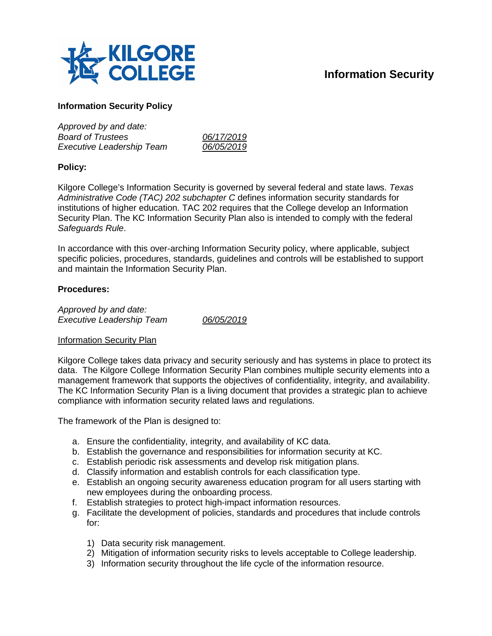

# **Information Security**

## **Information Security Policy**

| Approved by and date:            |            |
|----------------------------------|------------|
| <b>Board of Trustees</b>         | 06/17/2019 |
| <b>Executive Leadership Team</b> | 06/05/2019 |
|                                  |            |

#### **Policy:**

Kilgore College's Information Security is governed by several federal and state laws. *Texas Administrative Code (TAC) 202 subchapter C* defines information security standards for institutions of higher education. TAC 202 requires that the College develop an Information Security Plan. The KC Information Security Plan also is intended to comply with the federal *Safeguards Rule*.

In accordance with this over-arching Information Security policy, where applicable, subject specific policies, procedures, standards, guidelines and controls will be established to support and maintain the Information Security Plan.

#### **Procedures:**

*Approved by and date: Executive Leadership Team 06/05/2019*

#### Information Security Plan

Kilgore College takes data privacy and security seriously and has systems in place to protect its data. The Kilgore College Information Security Plan combines multiple security elements into a management framework that supports the objectives of confidentiality, integrity, and availability. The KC Information Security Plan is a living document that provides a strategic plan to achieve compliance with information security related laws and regulations.

The framework of the Plan is designed to:

- a. Ensure the confidentiality, integrity, and availability of KC data.
- b. Establish the governance and responsibilities for information security at KC.
- c. Establish periodic risk assessments and develop risk mitigation plans.
- d. Classify information and establish controls for each classification type.
- e. Establish an ongoing security awareness education program for all users starting with new employees during the onboarding process.
- f. Establish strategies to protect high-impact information resources.
- g. Facilitate the development of policies, standards and procedures that include controls for:
	- 1) Data security risk management.
	- 2) Mitigation of information security risks to levels acceptable to College leadership.
	- 3) Information security throughout the life cycle of the information resource.